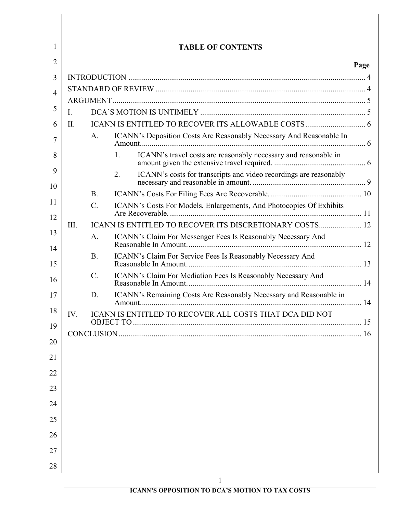| $\mathbf{1}$   |      |                 | <b>TABLE OF CONTENTS</b>                                                |      |
|----------------|------|-----------------|-------------------------------------------------------------------------|------|
| $\overline{2}$ |      |                 |                                                                         | Page |
| 3              |      |                 |                                                                         |      |
| $\overline{4}$ |      |                 |                                                                         |      |
|                |      |                 |                                                                         |      |
| 5              | I.   |                 |                                                                         |      |
| 6              | II.  |                 |                                                                         |      |
| 7              |      | A.              | ICANN's Deposition Costs Are Reasonably Necessary And Reasonable In     |      |
| 8              |      |                 | ICANN's travel costs are reasonably necessary and reasonable in<br>1.   |      |
| 9<br>10        |      |                 | ICANN's costs for transcripts and video recordings are reasonably<br>2. |      |
|                |      | <b>B.</b>       |                                                                         |      |
| 11<br>12       |      | $\mathcal{C}$ . | ICANN's Costs For Models, Enlargements, And Photocopies Of Exhibits     |      |
|                | III. |                 | ICANN IS ENTITLED TO RECOVER ITS DISCRETIONARY COSTS 12                 |      |
| 13<br>14       |      | A.              | ICANN's Claim For Messenger Fees Is Reasonably Necessary And            |      |
| 15             |      | <b>B.</b>       | ICANN's Claim For Service Fees Is Reasonably Necessary And              |      |
| 16             |      | $\mathcal{C}$ . | ICANN's Claim For Mediation Fees Is Reasonably Necessary And            |      |
| 17             |      | D.              | ICANN's Remaining Costs Are Reasonably Necessary and Reasonable in      |      |
| 18             | IV.  |                 | <b>ICANN IS ENTITLED TO RECOVER ALL COSTS THAT DCA DID NOT</b>          |      |
| 19             |      |                 |                                                                         | .16  |
| 20             |      |                 |                                                                         |      |
| 21             |      |                 |                                                                         |      |
| 22<br>23       |      |                 |                                                                         |      |
| 24             |      |                 |                                                                         |      |
| 25             |      |                 |                                                                         |      |
| 26             |      |                 |                                                                         |      |
| 27             |      |                 |                                                                         |      |
| 28             |      |                 |                                                                         |      |
|                |      |                 | $\mathbf{1}$                                                            |      |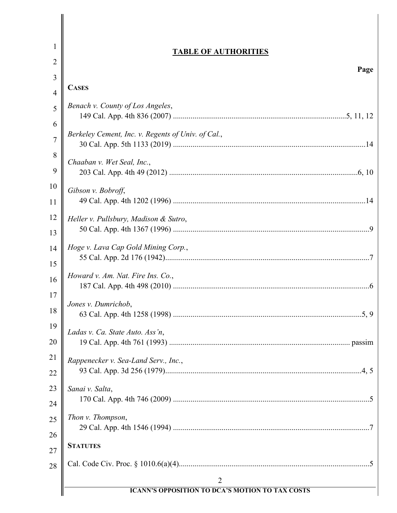| 1              | <b>TABLE OF AUTHORITIES</b>                            |
|----------------|--------------------------------------------------------|
| 2              |                                                        |
| 3              | Page                                                   |
| $\overline{4}$ | <b>CASES</b>                                           |
| 5              | Benach v. County of Los Angeles,                       |
| 6              |                                                        |
| 7              | Berkeley Cement, Inc. v. Regents of Univ. of Cal.,     |
| 8              | Chaaban v. Wet Seal, Inc.,                             |
| 9              |                                                        |
| 10             | Gibson v. Bobroff,                                     |
| 11             |                                                        |
| 12             | Heller v. Pullsbury, Madison & Sutro,                  |
| 13             |                                                        |
| 14             | Hoge v. Lava Cap Gold Mining Corp.,                    |
| 15             |                                                        |
| 16<br>17       | Howard v. Am. Nat. Fire Ins. Co.,                      |
| 18             | Jones v. Dumrichob,                                    |
| 19             |                                                        |
| 20             | Ladas v. Ca. State Auto. Ass'n,                        |
| 21             |                                                        |
|                | Rappenecker v. Sea-Land Serv., Inc.,                   |
| 22             |                                                        |
| 23             | Sanai v. Salta,                                        |
| 24             | Thon v. Thompson,                                      |
| 25             |                                                        |
| 26<br>27       | <b>STATUTES</b>                                        |
| 28             |                                                        |
|                | $\overline{2}$                                         |
|                | <b>ICANN'S OPPOSITION TO DCA'S MOTION TO TAX COSTS</b> |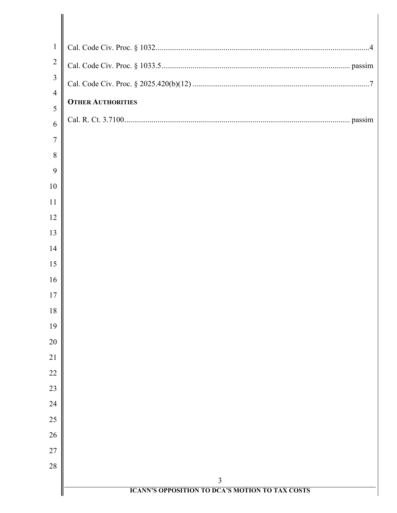| $\mathbf{1}$        |                                                             |
|---------------------|-------------------------------------------------------------|
| $\overline{2}$      |                                                             |
| $\mathfrak{Z}$      |                                                             |
| $\overline{4}$      | <b>OTHER AUTHORITIES</b>                                    |
| 5                   |                                                             |
| 6<br>$\overline{7}$ |                                                             |
| 8                   |                                                             |
| 9                   |                                                             |
| 10                  |                                                             |
| 11                  |                                                             |
| 12                  |                                                             |
| 13                  |                                                             |
| 14                  |                                                             |
| 15                  |                                                             |
| 16                  |                                                             |
| 17                  |                                                             |
| 18<br>19            |                                                             |
| 20                  |                                                             |
| 21                  |                                                             |
| 22                  |                                                             |
| 23                  |                                                             |
| 24                  |                                                             |
| 25                  |                                                             |
| 26                  |                                                             |
| 27                  |                                                             |
| 28                  |                                                             |
|                     | 3<br><b>ICANN'S OPPOSITION TO DCA'S MOTION TO TAX COSTS</b> |
|                     |                                                             |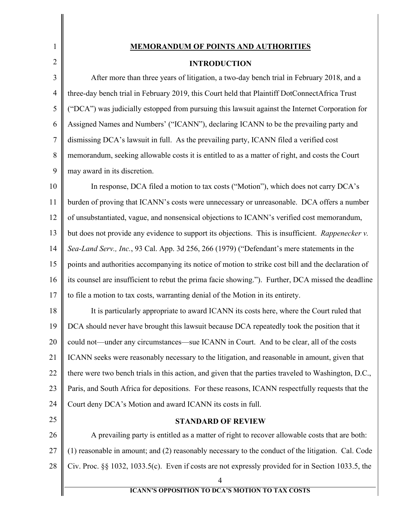# **MEMORANDUM OF POINTS AND AUTHORITIES**

## <span id="page-4-2"></span>**INTRODUCTION**

3 4 5 6 7 8 9 After more than three years of litigation, a two-day bench trial in February 2018, and a three-day bench trial in February 2019, this Court held that Plaintiff DotConnectAfrica Trust ("DCA") was judicially estopped from pursuing this lawsuit against the Internet Corporation for Assigned Names and Numbers' ("ICANN"), declaring ICANN to be the prevailing party and dismissing DCA's lawsuit in full. As the prevailing party, ICANN filed a verified cost memorandum, seeking allowable costs it is entitled to as a matter of right, and costs the Court may award in its discretion.

10 11 12 13 14 15 16 17 In response, DCA filed a motion to tax costs ("Motion"), which does not carry DCA's burden of proving that ICANN's costs were unnecessary or unreasonable. DCA offers a number of unsubstantiated, vague, and nonsensical objections to ICANN's verified cost memorandum, but does not provide any evidence to support its objections. This is insufficient. *Rappenecker v. Sea-Land Serv., Inc.*, 93 Cal. App. 3d 256, 266 (1979) ("Defendant's mere statements in the points and authorities accompanying its notice of motion to strike cost bill and the declaration of its counsel are insufficient to rebut the prima facie showing."). Further, DCA missed the deadline to file a motion to tax costs, warranting denial of the Motion in its entirety.

18 19 20 21 22 23 24 It is particularly appropriate to award ICANN its costs here, where the Court ruled that DCA should never have brought this lawsuit because DCA repeatedly took the position that it could not—under any circumstances—sue ICANN in Court. And to be clear, all of the costs ICANN seeks were reasonably necessary to the litigation, and reasonable in amount, given that there were two bench trials in this action, and given that the parties traveled to Washington, D.C., Paris, and South Africa for depositions. For these reasons, ICANN respectfully requests that the Court deny DCA's Motion and award ICANN its costs in full.

<span id="page-4-1"></span>25

1

<span id="page-4-0"></span>2

## <span id="page-4-3"></span>**STANDARD OF REVIEW**

26 27 28 A prevailing party is entitled as a matter of right to recover allowable costs that are both: (1) reasonable in amount; and (2) reasonably necessary to the conduct of the litigation. Cal. Code Civ. Proc. §§ 1032, 1033.5(c). Even if costs are not expressly provided for in Section 1033.5, the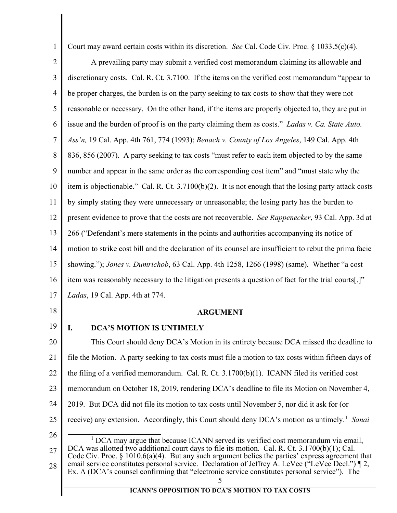<span id="page-5-4"></span><span id="page-5-2"></span>Court may award certain costs within its discretion. *See* Cal. Code Civ. Proc. § 1033.5(c)(4).

1

2 3 4 5 6 7 8 9 10 11 12 13 14 15 16 17 18 19 A prevailing party may submit a verified cost memorandum claiming its allowable and discretionary costs. Cal. R. Ct. 3.7100. If the items on the verified cost memorandum "appear to be proper charges, the burden is on the party seeking to tax costs to show that they were not reasonable or necessary. On the other hand, if the items are properly objected to, they are put in issue and the burden of proof is on the party claiming them as costs." *Ladas v. Ca. State Auto. Ass'n,* 19 Cal. App. 4th 761, 774 (1993); *Benach v. County of Los Angeles*, 149 Cal. App. 4th 836, 856 (2007). A party seeking to tax costs "must refer to each item objected to by the same number and appear in the same order as the corresponding cost item" and "must state why the item is objectionable." Cal. R. Ct.  $3.7100(b)(2)$ . It is not enough that the losing party attack costs by simply stating they were unnecessary or unreasonable; the losing party has the burden to present evidence to prove that the costs are not recoverable. *See Rappenecker*, 93 Cal. App. 3d at 266 ("Defendant's mere statements in the points and authorities accompanying its notice of motion to strike cost bill and the declaration of its counsel are insufficient to rebut the prima facie showing."); *Jones v. Dumrichob*, 63 Cal. App. 4th 1258, 1266 (1998) (same). Whether "a cost item was reasonably necessary to the litigation presents a question of fact for the trial courts[.]" *Ladas*, 19 Cal. App. 4th at 774. **ARGUMENT I. DCA'S MOTION IS UNTIMELY**

<span id="page-5-8"></span><span id="page-5-7"></span><span id="page-5-6"></span><span id="page-5-5"></span><span id="page-5-3"></span><span id="page-5-1"></span><span id="page-5-0"></span>20 21 22 23 24 25 26 27 28 This Court should deny DCA's Motion in its entirety because DCA missed the deadline to file the Motion. A party seeking to tax costs must file a motion to tax costs within fifteen days of the filing of a verified memorandum. Cal. R. Ct.  $3.1700(b)(1)$ . ICANN filed its verified cost memorandum on October 18, 2019, rendering DCA's deadline to file its Motion on November 4, 2019. But DCA did not file its motion to tax costs until November 5, nor did it ask for (or receive) any extension. Accordingly, this Court should deny DCA's motion as untimely.<sup>[1](#page-5-8)</sup> Sanai  $1\text{DCA}$  may argue that because ICANN served its verified cost memorandum via email, DCA was allotted two additional court days to file its motion. Cal. R. Ct. 3.1700(b)(1); Cal. Code Civ. Proc. § 1010.6(a)(4). But any such argument belies the parties' express agreement that email service constitutes personal service. Declaration of Jeffrey A. LeVee ("LeVee Decl.") ¶ 2, Ex. A (DCA's counsel confirming that "electronic service constitutes personal service"). The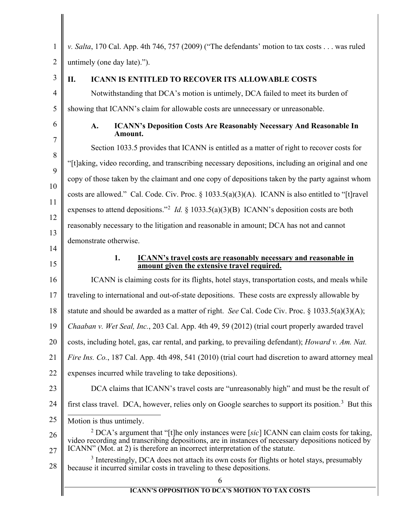<span id="page-6-6"></span><span id="page-6-5"></span><span id="page-6-4"></span><span id="page-6-3"></span><span id="page-6-2"></span><span id="page-6-1"></span><span id="page-6-0"></span>

| 1              | v. Salta, 170 Cal. App. 4th 746, 757 (2009) ("The defendants' motion to tax costs was ruled                                                                                                                                                                                     |
|----------------|---------------------------------------------------------------------------------------------------------------------------------------------------------------------------------------------------------------------------------------------------------------------------------|
| $\overline{2}$ | untimely (one day late).").                                                                                                                                                                                                                                                     |
| 3              | II.<br><b>ICANN IS ENTITLED TO RECOVER ITS ALLOWABLE COSTS</b>                                                                                                                                                                                                                  |
| $\overline{4}$ | Notwithstanding that DCA's motion is untimely, DCA failed to meet its burden of                                                                                                                                                                                                 |
| 5              | showing that ICANN's claim for allowable costs are unnecessary or unreasonable.                                                                                                                                                                                                 |
| 6              | <b>ICANN's Deposition Costs Are Reasonably Necessary And Reasonable In</b><br>A.<br>Amount.                                                                                                                                                                                     |
| $\overline{7}$ | Section 1033.5 provides that ICANN is entitled as a matter of right to recover costs for                                                                                                                                                                                        |
| 8<br>9         | "[t]aking, video recording, and transcribing necessary depositions, including an original and one                                                                                                                                                                               |
|                | copy of those taken by the claimant and one copy of depositions taken by the party against whom                                                                                                                                                                                 |
| 10             | costs are allowed." Cal. Code. Civ. Proc. $\S 1033.5(a)(3)(A)$ . ICANN is also entitled to "[t] ravel                                                                                                                                                                           |
| 11<br>12       | expenses to attend depositions." <sup>2</sup> <i>Id.</i> § 1033.5(a)(3)(B) ICANN's deposition costs are both                                                                                                                                                                    |
| 13             | reasonably necessary to the litigation and reasonable in amount; DCA has not and cannot                                                                                                                                                                                         |
| 14             | demonstrate otherwise.                                                                                                                                                                                                                                                          |
| 15             | 1.<br>ICANN's travel costs are reasonably necessary and reasonable in<br>amount given the extensive travel required.                                                                                                                                                            |
| 16             | ICANN is claiming costs for its flights, hotel stays, transportation costs, and meals while                                                                                                                                                                                     |
| 17             | traveling to international and out-of-state depositions. These costs are expressly allowable by                                                                                                                                                                                 |
| 18             | statute and should be awarded as a matter of right. See Cal. Code Civ. Proc. $\S$ 1033.5(a)(3)(A);                                                                                                                                                                              |
| 19             | Chaaban v. Wet Seal, Inc., 203 Cal. App. 4th 49, 59 (2012) (trial court properly awarded travel                                                                                                                                                                                 |
| 20             | costs, including hotel, gas, car rental, and parking, to prevailing defendant); Howard v. Am. Nat.                                                                                                                                                                              |
| 21             | Fire Ins. Co., 187 Cal. App. 4th 498, 541 (2010) (trial court had discretion to award attorney meal                                                                                                                                                                             |
| 22             | expenses incurred while traveling to take depositions).                                                                                                                                                                                                                         |
| 23             | DCA claims that ICANN's travel costs are "unreasonably high" and must be the result of                                                                                                                                                                                          |
| 24             | first class travel. DCA, however, relies only on Google searches to support its position. <sup>3</sup> But this                                                                                                                                                                 |
| 25             | Motion is thus untimely.                                                                                                                                                                                                                                                        |
| 26<br>27       | $2$ DCA's argument that "[t]he only instances were [sic] ICANN can claim costs for taking,<br>video recording and transcribing depositions, are in instances of necessary depositions noticed by<br>ICANN" (Mot. at 2) is therefore an incorrect interpretation of the statute. |
| 28             | <sup>3</sup> Interestingly, DCA does not attach its own costs for flights or hotel stays, presumably<br>because it incurred similar costs in traveling to these depositions.                                                                                                    |
|                | 6                                                                                                                                                                                                                                                                               |
|                | <b>ICANN'S OPPOSITION TO DCA'S MOTION TO TAX COSTS</b>                                                                                                                                                                                                                          |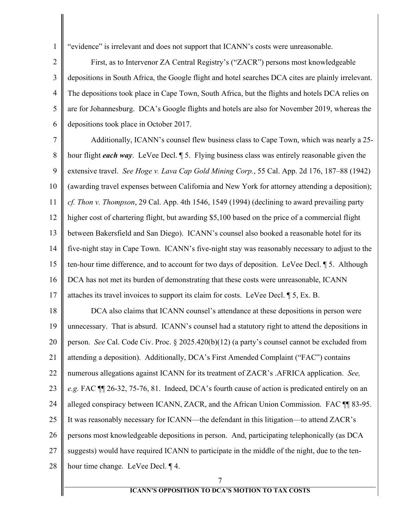"evidence" is irrelevant and does not support that ICANN's costs were unreasonable.

2 3 4 5 6 First, as to Intervenor ZA Central Registry's ("ZACR") persons most knowledgeable depositions in South Africa, the Google flight and hotel searches DCA cites are plainly irrelevant. The depositions took place in Cape Town, South Africa, but the flights and hotels DCA relies on are for Johannesburg. DCA's Google flights and hotels are also for November 2019, whereas the depositions took place in October 2017.

<span id="page-7-1"></span><span id="page-7-0"></span>7 8 9 10 11 12 13 14 15 16 17 18 19 20 Additionally, ICANN's counsel flew business class to Cape Town, which was nearly a 25 hour flight *each way*. LeVee Decl. ¶ 5. Flying business class was entirely reasonable given the extensive travel. *See Hoge v. Lava Cap Gold Mining Corp.*, 55 Cal. App. 2d 176, 187–88 (1942) (awarding travel expenses between California and New York for attorney attending a deposition); *cf. Thon v. Thompson*, 29 Cal. App. 4th 1546, 1549 (1994) (declining to award prevailing party higher cost of chartering flight, but awarding \$5,100 based on the price of a commercial flight between Bakersfield and San Diego). ICANN's counsel also booked a reasonable hotel for its five-night stay in Cape Town. ICANN's five-night stay was reasonably necessary to adjust to the ten-hour time difference, and to account for two days of deposition. LeVee Decl. ¶ 5. Although DCA has not met its burden of demonstrating that these costs were unreasonable, ICANN attaches its travel invoices to support its claim for costs. LeVee Decl. ¶ 5, Ex. B. DCA also claims that ICANN counsel's attendance at these depositions in person were unnecessary. That is absurd. ICANN's counsel had a statutory right to attend the depositions in

<span id="page-7-2"></span>person. *See* Cal. Code Civ. Proc. § 2025.420(b)(12) (a party's counsel cannot be excluded from

21 attending a deposition). Additionally, DCA's First Amended Complaint ("FAC") contains

22 numerous allegations against ICANN for its treatment of ZACR's .AFRICA application. *See,* 

23 *e.g.* FAC ¶¶ 26-32, 75-76, 81. Indeed, DCA's fourth cause of action is predicated entirely on an

24 alleged conspiracy between ICANN, ZACR, and the African Union Commission. FAC ¶¶ 83-95.

25 It was reasonably necessary for ICANN—the defendant in this litigation—to attend ZACR's

26 persons most knowledgeable depositions in person. And, participating telephonically (as DCA

27 suggests) would have required ICANN to participate in the middle of the night, due to the ten-

28 hour time change. LeVee Decl. ¶ 4.

1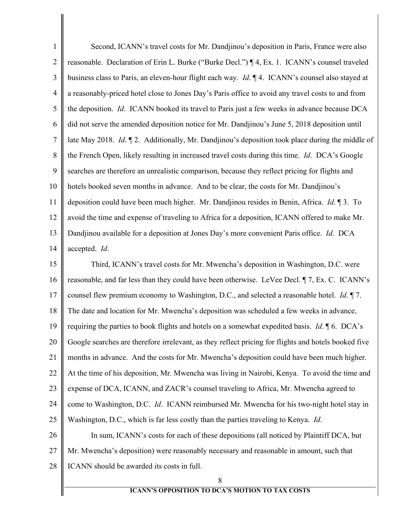1 2 3 4 5 6 7 8 9 10 11 12 13 14 15 16 17 Second, ICANN's travel costs for Mr. Dandjinou's deposition in Paris, France were also reasonable. Declaration of Erin L. Burke ("Burke Decl.") ¶ 4, Ex. 1. ICANN's counsel traveled business class to Paris, an eleven-hour flight each way. *Id*. ¶ 4. ICANN's counsel also stayed at a reasonably-priced hotel close to Jones Day's Paris office to avoid any travel costs to and from the deposition. *Id*. ICANN booked its travel to Paris just a few weeks in advance because DCA did not serve the amended deposition notice for Mr. Dandjinou's June 5, 2018 deposition until late May 2018. *Id*. ¶ 2. Additionally, Mr. Dandjinou's deposition took place during the middle of the French Open, likely resulting in increased travel costs during this time. *Id*. DCA's Google searches are therefore an unrealistic comparison, because they reflect pricing for flights and hotels booked seven months in advance. And to be clear, the costs for Mr. Dandjinou's deposition could have been much higher. Mr. Dandjinou resides in Benin, Africa. *Id*. ¶ 3. To avoid the time and expense of traveling to Africa for a deposition, ICANN offered to make Mr. Dandjinou available for a deposition at Jones Day's more convenient Paris office. *Id*. DCA accepted. *Id*. Third, ICANN's travel costs for Mr. Mwencha's deposition in Washington, D.C. were reasonable, and far less than they could have been otherwise. LeVee Decl. ¶ 7, Ex. C. ICANN's counsel flew premium economy to Washington, D.C., and selected a reasonable hotel. *Id*. ¶ 7.

18 The date and location for Mr. Mwencha's deposition was scheduled a few weeks in advance,

19 requiring the parties to book flights and hotels on a somewhat expedited basis. *Id*. ¶ 6. DCA's

20 Google searches are therefore irrelevant, as they reflect pricing for flights and hotels booked five

21 months in advance. And the costs for Mr. Mwencha's deposition could have been much higher.

22 At the time of his deposition, Mr. Mwencha was living in Nairobi, Kenya. To avoid the time and

23 expense of DCA, ICANN, and ZACR's counsel traveling to Africa, Mr. Mwencha agreed to

24 25 come to Washington, D.C. *Id*. ICANN reimbursed Mr. Mwencha for his two-night hotel stay in Washington, D.C., which is far less costly than the parties traveling to Kenya. *Id*.

26 27 28 In sum, ICANN's costs for each of these depositions (all noticed by Plaintiff DCA, but Mr. Mwencha's deposition) were reasonably necessary and reasonable in amount, such that ICANN should be awarded its costs in full.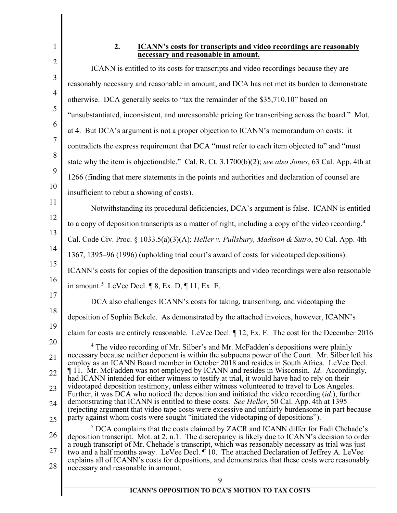# $\overline{a}$

<span id="page-9-0"></span>1

### <span id="page-9-2"></span><span id="page-9-1"></span>**2. ICANN's costs for transcripts and video recordings are reasonably necessary and reasonable in amount.**

<span id="page-9-4"></span><span id="page-9-3"></span>

| $\mathcal{L}$  | ICANN is entitled to its costs for transcripts and video recordings because they are                                                                                                                                                                                                                |
|----------------|-----------------------------------------------------------------------------------------------------------------------------------------------------------------------------------------------------------------------------------------------------------------------------------------------------|
| 3              | reasonably necessary and reasonable in amount, and DCA has not met its burden to demonstrate                                                                                                                                                                                                        |
| $\overline{4}$ | otherwise. DCA generally seeks to "tax the remainder of the \$35,710.10" based on                                                                                                                                                                                                                   |
| 5              | "unsubstantiated, inconsistent, and unreasonable pricing for transcribing across the board." Mot.                                                                                                                                                                                                   |
| 6              | at 4. But DCA's argument is not a proper objection to ICANN's memorandum on costs: it                                                                                                                                                                                                               |
| $\tau$         | contradicts the express requirement that DCA "must refer to each item objected to" and "must                                                                                                                                                                                                        |
| 8              | state why the item is objectionable." Cal. R. Ct. 3.1700(b)(2); see also Jones, 63 Cal. App. 4th at                                                                                                                                                                                                 |
| 9              | 1266 (finding that mere statements in the points and authorities and declaration of counsel are                                                                                                                                                                                                     |
| 10             | insufficient to rebut a showing of costs).                                                                                                                                                                                                                                                          |
| 11             | Notwithstanding its procedural deficiencies, DCA's argument is false. ICANN is entitled                                                                                                                                                                                                             |
| 12             | to a copy of deposition transcripts as a matter of right, including a copy of the video recording. <sup>4</sup>                                                                                                                                                                                     |
| 13             | Cal. Code Civ. Proc. § 1033.5(a)(3)(A); Heller v. Pullsbury, Madison & Sutro, 50 Cal. App. 4th                                                                                                                                                                                                      |
| 14             | 1367, 1395–96 (1996) (upholding trial court's award of costs for videotaped depositions).                                                                                                                                                                                                           |
| 15             | ICANN's costs for copies of the deposition transcripts and video recordings were also reasonable                                                                                                                                                                                                    |
| 16             | in amount. <sup>5</sup> LeVee Decl. $\P$ 8, Ex. D, $\P$ 11, Ex. E.                                                                                                                                                                                                                                  |
| 17             | DCA also challenges ICANN's costs for taking, transcribing, and videotaping the                                                                                                                                                                                                                     |
| 18             | deposition of Sophia Bekele. As demonstrated by the attached invoices, however, ICANN's                                                                                                                                                                                                             |
| 19             | claim for costs are entirely reasonable. LeVee Decl. ¶ 12, Ex. F. The cost for the December 2016                                                                                                                                                                                                    |
| 20             | <sup>4</sup> The video recording of Mr. Silber's and Mr. McFadden's depositions were plainly<br>necessary because neither deponent is within the subpoena power of the Court. Mr. Silber left his                                                                                                   |
| 21<br>22       | employ as an ICANN Board member in October 2018 and resides in South Africa. LeVee Decl.<br>11. Mr. McFadden was not employed by ICANN and resides in Wisconsin. <i>Id.</i> Accordingly,                                                                                                            |
| 23             | had ICANN intended for either witness to testify at trial, it would have had to rely on their<br>videotaped deposition testimony, unless either witness volunteered to travel to Los Angeles.                                                                                                       |
| 24             | Further, it was DCA who noticed the deposition and initiated the video recording <i>(id.)</i> , further<br>demonstrating that ICANN is entitled to these costs. See Heller, 50 Cal. App. 4th at 1395                                                                                                |
| 25             | (rejecting argument that video tape costs were excessive and unfairly burdensome in part because<br>party against whom costs were sought "initiated the videotaping of depositions").                                                                                                               |
| 26             | <sup>3</sup> DCA complains that the costs claimed by ZACR and ICANN differ for Fadi Chehade's                                                                                                                                                                                                       |
| 27             | deposition transcript. Mot. at 2, n.1. The discrepancy is likely due to ICANN's decision to order<br>a rough transcript of Mr. Chehade's transcript, which was reasonably necessary as trial was just<br>two and a half months away. LeVee Decl. ¶ 10. The attached Declaration of Jeffrey A. LeVee |
| 28             | explains all of ICANN's costs for depositions, and demonstrates that these costs were reasonably                                                                                                                                                                                                    |
|                | necessary and reasonable in amount.<br>9                                                                                                                                                                                                                                                            |
|                | <b>ICANN'S OPPOSITION TO DCA'S MOTION TO TAX COSTS</b>                                                                                                                                                                                                                                              |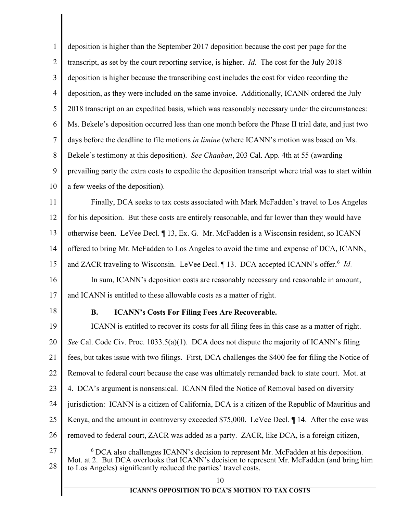<span id="page-10-2"></span><span id="page-10-0"></span>

| 1              | deposition is higher than the September 2017 deposition because the cost per page for the                                                                                                                                                                         |
|----------------|-------------------------------------------------------------------------------------------------------------------------------------------------------------------------------------------------------------------------------------------------------------------|
| $\overline{2}$ | transcript, as set by the court reporting service, is higher. <i>Id</i> . The cost for the July 2018                                                                                                                                                              |
| 3              | deposition is higher because the transcribing cost includes the cost for video recording the                                                                                                                                                                      |
| $\overline{4}$ | deposition, as they were included on the same invoice. Additionally, ICANN ordered the July                                                                                                                                                                       |
| 5              | 2018 transcript on an expedited basis, which was reasonably necessary under the circumstances:                                                                                                                                                                    |
| 6              | Ms. Bekele's deposition occurred less than one month before the Phase II trial date, and just two                                                                                                                                                                 |
| 7              | days before the deadline to file motions in limine (where ICANN's motion was based on Ms.                                                                                                                                                                         |
| 8              | Bekele's testimony at this deposition). See Chaaban, 203 Cal. App. 4th at 55 (awarding                                                                                                                                                                            |
| 9              | prevailing party the extra costs to expedite the deposition transcript where trial was to start within                                                                                                                                                            |
| 10             | a few weeks of the deposition).                                                                                                                                                                                                                                   |
| 11             | Finally, DCA seeks to tax costs associated with Mark McFadden's travel to Los Angeles                                                                                                                                                                             |
| 12             | for his deposition. But these costs are entirely reasonable, and far lower than they would have                                                                                                                                                                   |
| 13             | otherwise been. LeVee Decl. ¶ 13, Ex. G. Mr. McFadden is a Wisconsin resident, so ICANN                                                                                                                                                                           |
| 14             | offered to bring Mr. McFadden to Los Angeles to avoid the time and expense of DCA, ICANN,                                                                                                                                                                         |
| 15             | and ZACR traveling to Wisconsin. LeVee Decl. 13. DCA accepted ICANN's offer. <sup>6</sup> Id.                                                                                                                                                                     |
| 16             | In sum, ICANN's deposition costs are reasonably necessary and reasonable in amount,                                                                                                                                                                               |
| 17             | and ICANN is entitled to these allowable costs as a matter of right.                                                                                                                                                                                              |
| 18             | <b>ICANN's Costs For Filing Fees Are Recoverable.</b><br><b>B.</b>                                                                                                                                                                                                |
| 19             | ICANN is entitled to recover its costs for all filing fees in this case as a matter of right.                                                                                                                                                                     |
| 20             | See Cal. Code Civ. Proc. 1033.5(a)(1). DCA does not dispute the majority of ICANN's filing                                                                                                                                                                        |
| 21             | fees, but takes issue with two filings. First, DCA challenges the \$400 fee for filing the Notice of                                                                                                                                                              |
| 22             | Removal to federal court because the case was ultimately remanded back to state court. Mot. at                                                                                                                                                                    |
| 23             | 4. DCA's argument is nonsensical. ICANN filed the Notice of Removal based on diversity                                                                                                                                                                            |
| 24             | jurisdiction: ICANN is a citizen of California, DCA is a citizen of the Republic of Mauritius and                                                                                                                                                                 |
| 25             | Kenya, and the amount in controversy exceeded \$75,000. LeVee Decl. 14. After the case was                                                                                                                                                                        |
| 26             | removed to federal court, ZACR was added as a party. ZACR, like DCA, is a foreign citizen,                                                                                                                                                                        |
| 27<br>28       | <sup>6</sup> DCA also challenges ICANN's decision to represent Mr. McFadden at his deposition.<br>Mot. at 2. But DCA overlooks that ICANN's decision to represent Mr. McFadden (and bring him<br>to Los Angeles) significantly reduced the parties' travel costs. |
|                | 10<br><b>ICANN'S OPPOSITION TO DCA'S MOTION TO TAX COSTS</b>                                                                                                                                                                                                      |
|                |                                                                                                                                                                                                                                                                   |

<span id="page-10-1"></span> $\parallel$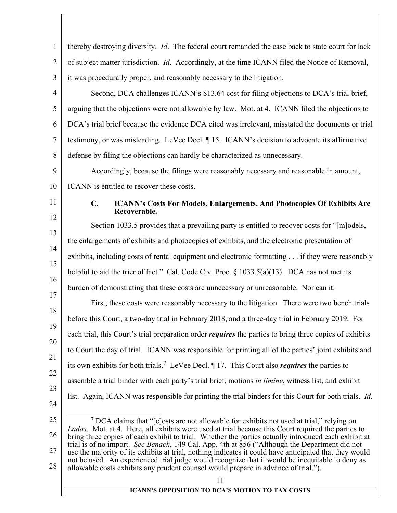<span id="page-11-2"></span><span id="page-11-1"></span><span id="page-11-0"></span>

| 1                    | thereby destroying diversity. Id. The federal court remanded the case back to state court for lack                                                                                                                                                                                                                                                                                                                                                                                                                                                                                                                                                                                                                      |
|----------------------|-------------------------------------------------------------------------------------------------------------------------------------------------------------------------------------------------------------------------------------------------------------------------------------------------------------------------------------------------------------------------------------------------------------------------------------------------------------------------------------------------------------------------------------------------------------------------------------------------------------------------------------------------------------------------------------------------------------------------|
| $\overline{2}$       | of subject matter jurisdiction. Id. Accordingly, at the time ICANN filed the Notice of Removal,                                                                                                                                                                                                                                                                                                                                                                                                                                                                                                                                                                                                                         |
| 3                    | it was procedurally proper, and reasonably necessary to the litigation.                                                                                                                                                                                                                                                                                                                                                                                                                                                                                                                                                                                                                                                 |
| 4                    | Second, DCA challenges ICANN's \$13.64 cost for filing objections to DCA's trial brief,                                                                                                                                                                                                                                                                                                                                                                                                                                                                                                                                                                                                                                 |
| 5                    | arguing that the objections were not allowable by law. Mot. at 4. ICANN filed the objections to                                                                                                                                                                                                                                                                                                                                                                                                                                                                                                                                                                                                                         |
| 6                    | DCA's trial brief because the evidence DCA cited was irrelevant, misstated the documents or trial                                                                                                                                                                                                                                                                                                                                                                                                                                                                                                                                                                                                                       |
| $\tau$               | testimony, or was misleading. LeVee Decl. ¶15. ICANN's decision to advocate its affirmative                                                                                                                                                                                                                                                                                                                                                                                                                                                                                                                                                                                                                             |
| 8                    | defense by filing the objections can hardly be characterized as unnecessary.                                                                                                                                                                                                                                                                                                                                                                                                                                                                                                                                                                                                                                            |
| 9                    | Accordingly, because the filings were reasonably necessary and reasonable in amount,                                                                                                                                                                                                                                                                                                                                                                                                                                                                                                                                                                                                                                    |
| 10                   | ICANN is entitled to recover these costs.                                                                                                                                                                                                                                                                                                                                                                                                                                                                                                                                                                                                                                                                               |
| 11                   | $C_{\bullet}$<br><b>ICANN's Costs For Models, Enlargements, And Photocopies Of Exhibits Are</b><br>Recoverable.                                                                                                                                                                                                                                                                                                                                                                                                                                                                                                                                                                                                         |
| 12                   | Section 1033.5 provides that a prevailing party is entitled to recover costs for "[m]odels,                                                                                                                                                                                                                                                                                                                                                                                                                                                                                                                                                                                                                             |
| 13                   | the enlargements of exhibits and photocopies of exhibits, and the electronic presentation of                                                                                                                                                                                                                                                                                                                                                                                                                                                                                                                                                                                                                            |
| 14                   | exhibits, including costs of rental equipment and electronic formatting if they were reasonably                                                                                                                                                                                                                                                                                                                                                                                                                                                                                                                                                                                                                         |
| 15                   | helpful to aid the trier of fact." Cal. Code Civ. Proc. $\S 1033.5(a)(13)$ . DCA has not met its                                                                                                                                                                                                                                                                                                                                                                                                                                                                                                                                                                                                                        |
| 16<br>17             | burden of demonstrating that these costs are unnecessary or unreasonable. Nor can it.                                                                                                                                                                                                                                                                                                                                                                                                                                                                                                                                                                                                                                   |
| 18                   | First, these costs were reasonably necessary to the litigation. There were two bench trials                                                                                                                                                                                                                                                                                                                                                                                                                                                                                                                                                                                                                             |
| 19                   | before this Court, a two-day trial in February 2018, and a three-day trial in February 2019. For                                                                                                                                                                                                                                                                                                                                                                                                                                                                                                                                                                                                                        |
| 20                   | each trial, this Court's trial preparation order <i>requires</i> the parties to bring three copies of exhibits                                                                                                                                                                                                                                                                                                                                                                                                                                                                                                                                                                                                          |
| 21                   | to Court the day of trial. ICANN was responsible for printing all of the parties' joint exhibits and                                                                                                                                                                                                                                                                                                                                                                                                                                                                                                                                                                                                                    |
| 22                   | its own exhibits for both trials. <sup>7</sup> LeVee Decl. $\parallel$ 17. This Court also <i>requires</i> the parties to                                                                                                                                                                                                                                                                                                                                                                                                                                                                                                                                                                                               |
| 23                   | assemble a trial binder with each party's trial brief, motions in limine, witness list, and exhibit                                                                                                                                                                                                                                                                                                                                                                                                                                                                                                                                                                                                                     |
| 24                   | list. Again, ICANN was responsible for printing the trial binders for this Court for both trials. <i>Id.</i>                                                                                                                                                                                                                                                                                                                                                                                                                                                                                                                                                                                                            |
| 25<br>26<br>27<br>28 | $\frac{7}{7}$ DCA claims that "[c] osts are not allowable for exhibits not used at trial," relying on<br>Ladas. Mot. at 4. Here, all exhibits were used at trial because this Court required the parties to<br>bring three copies of each exhibit to trial. Whether the parties actually introduced each exhibit at<br>trial is of no import. See Benach, 149 Cal. App. 4th at 856 ("Although the Department did not<br>use the majority of its exhibits at trial, nothing indicates it could have anticipated that they would<br>not be used. An experienced trial judge would recognize that it would be inequitable to deny as<br>allowable costs exhibits any prudent counsel would prepare in advance of trial."). |
|                      | 11<br><b>ICANN'S OPPOSITION TO DCA'S MOTION TO TAX COSTS</b>                                                                                                                                                                                                                                                                                                                                                                                                                                                                                                                                                                                                                                                            |
|                      |                                                                                                                                                                                                                                                                                                                                                                                                                                                                                                                                                                                                                                                                                                                         |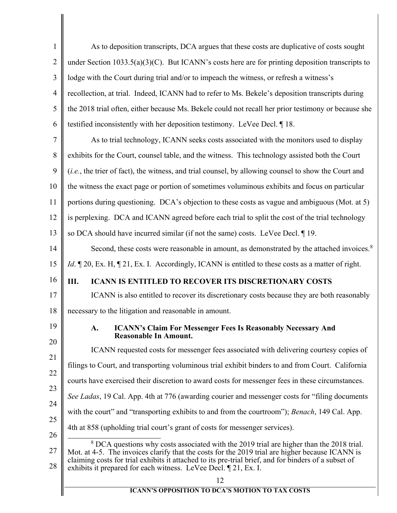<span id="page-12-3"></span><span id="page-12-2"></span><span id="page-12-1"></span><span id="page-12-0"></span>

| $\mathbf{1}$   | As to deposition transcripts, DCA argues that these costs are duplicative of costs sought                                                                                                                                                                                                                                                                                         |
|----------------|-----------------------------------------------------------------------------------------------------------------------------------------------------------------------------------------------------------------------------------------------------------------------------------------------------------------------------------------------------------------------------------|
| $\overline{2}$ | under Section $1033.5(a)(3)(C)$ . But ICANN's costs here are for printing deposition transcripts to                                                                                                                                                                                                                                                                               |
| 3              | lodge with the Court during trial and/or to impeach the witness, or refresh a witness's                                                                                                                                                                                                                                                                                           |
| $\overline{4}$ | recollection, at trial. Indeed, ICANN had to refer to Ms. Bekele's deposition transcripts during                                                                                                                                                                                                                                                                                  |
| 5              | the 2018 trial often, either because Ms. Bekele could not recall her prior testimony or because she                                                                                                                                                                                                                                                                               |
| 6              | testified inconsistently with her deposition testimony. LeVee Decl. ¶18.                                                                                                                                                                                                                                                                                                          |
| 7              | As to trial technology, ICANN seeks costs associated with the monitors used to display                                                                                                                                                                                                                                                                                            |
| 8              | exhibits for the Court, counsel table, and the witness. This technology assisted both the Court                                                                                                                                                                                                                                                                                   |
| 9              | (i.e., the trier of fact), the witness, and trial counsel, by allowing counsel to show the Court and                                                                                                                                                                                                                                                                              |
| 10             | the witness the exact page or portion of sometimes voluminous exhibits and focus on particular                                                                                                                                                                                                                                                                                    |
| 11             | portions during questioning. DCA's objection to these costs as vague and ambiguous (Mot. at 5)                                                                                                                                                                                                                                                                                    |
| 12             | is perplexing. DCA and ICANN agreed before each trial to split the cost of the trial technology                                                                                                                                                                                                                                                                                   |
| 13             | so DCA should have incurred similar (if not the same) costs. LeVee Decl. 19.                                                                                                                                                                                                                                                                                                      |
| 14             | Second, these costs were reasonable in amount, as demonstrated by the attached invoices. <sup>8</sup>                                                                                                                                                                                                                                                                             |
| 15             | <i>Id.</i> $\mathbb{Z}$ 20, Ex. H, $\mathbb{Z}$ 21, Ex. I. Accordingly, ICANN is entitled to these costs as a matter of right.                                                                                                                                                                                                                                                    |
| 16             | <b>ICANN IS ENTITLED TO RECOVER ITS DISCRETIONARY COSTS</b><br>Ш.                                                                                                                                                                                                                                                                                                                 |
| 17             | ICANN is also entitled to recover its discretionary costs because they are both reasonably                                                                                                                                                                                                                                                                                        |
| 18             | necessary to the litigation and reasonable in amount.                                                                                                                                                                                                                                                                                                                             |
| 19<br>20       | <b>ICANN's Claim For Messenger Fees Is Reasonably Necessary And</b><br>${\bf A}$ .<br><b>Reasonable In Amount.</b>                                                                                                                                                                                                                                                                |
| 21             | ICANN requested costs for messenger fees associated with delivering courtesy copies of                                                                                                                                                                                                                                                                                            |
| 22             | filings to Court, and transporting voluminous trial exhibit binders to and from Court. California                                                                                                                                                                                                                                                                                 |
| 23             | courts have exercised their discretion to award costs for messenger fees in these circumstances.                                                                                                                                                                                                                                                                                  |
| 24             | See Ladas, 19 Cal. App. 4th at 776 (awarding courier and messenger costs for "filing documents")                                                                                                                                                                                                                                                                                  |
| 25             | with the court" and "transporting exhibits to and from the courtroom"); Benach, 149 Cal. App.                                                                                                                                                                                                                                                                                     |
| 26             | 4th at 858 (upholding trial court's grant of costs for messenger services).                                                                                                                                                                                                                                                                                                       |
| 27<br>28       | <sup>8</sup> DCA questions why costs associated with the 2019 trial are higher than the 2018 trial.<br>Mot. at 4-5. The invoices clarify that the costs for the 2019 trial are higher because ICANN is<br>claiming costs for trial exhibits it attached to its pre-trial brief, and for binders of a subset of<br>exhibits it prepared for each witness. LeVee Decl. 1 21, Ex. I. |
|                | 12<br><b>ICANN'S OPPOSITION TO DCA'S MOTION TO TAX COSTS</b>                                                                                                                                                                                                                                                                                                                      |
|                |                                                                                                                                                                                                                                                                                                                                                                                   |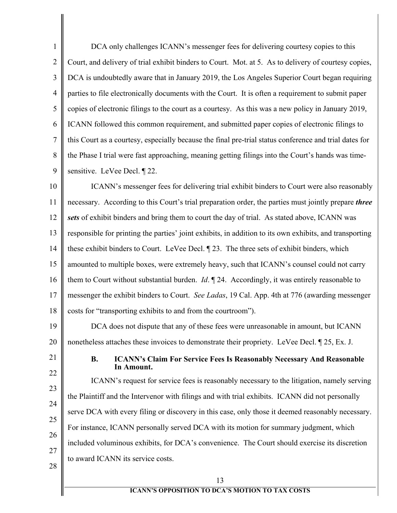1 2 3 4 5 6 7 8 9 DCA only challenges ICANN's messenger fees for delivering courtesy copies to this Court, and delivery of trial exhibit binders to Court. Mot. at 5. As to delivery of courtesy copies, DCA is undoubtedly aware that in January 2019, the Los Angeles Superior Court began requiring parties to file electronically documents with the Court. It is often a requirement to submit paper copies of electronic filings to the court as a courtesy. As this was a new policy in January 2019, ICANN followed this common requirement, and submitted paper copies of electronic filings to this Court as a courtesy, especially because the final pre-trial status conference and trial dates for the Phase I trial were fast approaching, meaning getting filings into the Court's hands was timesensitive. LeVee Decl. ¶ 22.

10 11 12 13 14 15 16 17 18 ICANN's messenger fees for delivering trial exhibit binders to Court were also reasonably necessary. According to this Court's trial preparation order, the parties must jointly prepare *three sets* of exhibit binders and bring them to court the day of trial. As stated above, ICANN was responsible for printing the parties' joint exhibits, in addition to its own exhibits, and transporting these exhibit binders to Court. LeVee Decl. ¶ 23. The three sets of exhibit binders, which amounted to multiple boxes, were extremely heavy, such that ICANN's counsel could not carry them to Court without substantial burden. *Id*. ¶ 24. Accordingly, it was entirely reasonable to messenger the exhibit binders to Court. *See Ladas*, 19 Cal. App. 4th at 776 (awarding messenger costs for "transporting exhibits to and from the courtroom").

19 20 DCA does not dispute that any of these fees were unreasonable in amount, but ICANN nonetheless attaches these invoices to demonstrate their propriety. LeVee Decl. ¶ 25, Ex. J.

<span id="page-13-0"></span>21 22

## **B. ICANN's Claim For Service Fees Is Reasonably Necessary And Reasonable In Amount.**

23 24 25 26 27 ICANN's request for service fees is reasonably necessary to the litigation, namely serving the Plaintiff and the Intervenor with filings and with trial exhibits. ICANN did not personally serve DCA with every filing or discovery in this case, only those it deemed reasonably necessary. For instance, ICANN personally served DCA with its motion for summary judgment, which included voluminous exhibits, for DCA's convenience. The Court should exercise its discretion to award ICANN its service costs.

28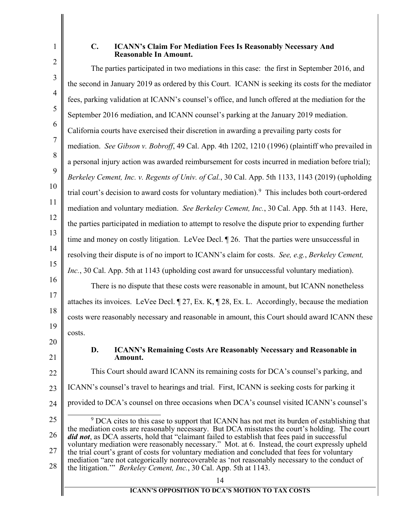<span id="page-14-0"></span>1 2

## <span id="page-14-3"></span>**C. ICANN's Claim For Mediation Fees Is Reasonably Necessary And Reasonable In Amount.**

<span id="page-14-4"></span><span id="page-14-2"></span><span id="page-14-1"></span>3 4 5 6 7 8 9 10 11 12 13 14 15 16 17 18 19 20 21 22 23 24 25 26 27 28 The parties participated in two mediations in this case: the first in September 2016, and the second in January 2019 as ordered by this Court. ICANN is seeking its costs for the mediator fees, parking validation at ICANN's counsel's office, and lunch offered at the mediation for the September 2016 mediation, and ICANN counsel's parking at the January 2019 mediation. California courts have exercised their discretion in awarding a prevailing party costs for mediation. *See Gibson v. Bobroff*, 49 Cal. App. 4th 1202, 1210 (1996) (plaintiff who prevailed in a personal injury action was awarded reimbursement for costs incurred in mediation before trial); *Berkeley Cement, Inc. v. Regents of Univ. of Cal.*, 30 Cal. App. 5th 1133, 1143 (2019) (upholding trial court's decision to award costs for voluntary mediation).<sup>[9](#page-14-4)</sup> This includes both court-ordered mediation and voluntary mediation. *See Berkeley Cement, Inc.*, 30 Cal. App. 5th at 1143. Here, the parties participated in mediation to attempt to resolve the dispute prior to expending further time and money on costly litigation. LeVee Decl. ¶ 26. That the parties were unsuccessful in resolving their dispute is of no import to ICANN's claim for costs. *See, e.g.*, *Berkeley Cement, Inc.*, 30 Cal. App. 5th at 1143 (upholding cost award for unsuccessful voluntary mediation). There is no dispute that these costs were reasonable in amount, but ICANN nonetheless attaches its invoices. LeVee Decl. ¶ 27, Ex. K, ¶ 28, Ex. L. Accordingly, because the mediation costs were reasonably necessary and reasonable in amount, this Court should award ICANN these costs. **D. ICANN's Remaining Costs Are Reasonably Necessary and Reasonable in Amount.** This Court should award ICANN its remaining costs for DCA's counsel's parking, and ICANN's counsel's travel to hearings and trial. First, ICANN is seeking costs for parking it provided to DCA's counsel on three occasions when DCA's counsel visited ICANN's counsel's <sup>9</sup> DCA cites to this case to support that ICANN has not met its burden of establishing that the mediation costs are reasonably necessary. But DCA misstates the court's holding. The court *did not*, as DCA asserts, hold that "claimant failed to establish that fees paid in successful voluntary mediation were reasonably necessary." Mot. at 6. Instead, the court expressly upheld the trial court's grant of costs for voluntary mediation and concluded that fees for voluntary mediation "are not categorically nonrecoverable as 'not reasonably necessary to the conduct of the litigation.'" *Berkeley Cement, Inc.*, 30 Cal. App. 5th at 1143.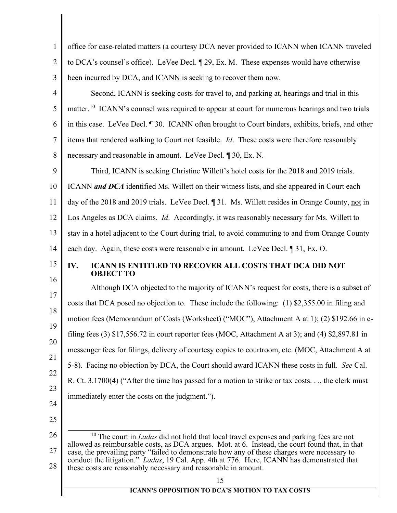<span id="page-15-1"></span><span id="page-15-0"></span>

| $\mathbf{1}$   | office for case-related matters (a courtesy DCA never provided to ICANN when ICANN traveled                                                                                                                                                                                                                                                                     |
|----------------|-----------------------------------------------------------------------------------------------------------------------------------------------------------------------------------------------------------------------------------------------------------------------------------------------------------------------------------------------------------------|
| $\overline{2}$ | to DCA's counsel's office). LeVee Decl. [29, Ex. M. These expenses would have otherwise                                                                                                                                                                                                                                                                         |
| 3              | been incurred by DCA, and ICANN is seeking to recover them now.                                                                                                                                                                                                                                                                                                 |
| $\overline{4}$ | Second, ICANN is seeking costs for travel to, and parking at, hearings and trial in this                                                                                                                                                                                                                                                                        |
| 5              | matter. <sup>10</sup> ICANN's counsel was required to appear at court for numerous hearings and two trials                                                                                                                                                                                                                                                      |
| 6              | in this case. LeVee Decl. ¶ 30. ICANN often brought to Court binders, exhibits, briefs, and other                                                                                                                                                                                                                                                               |
| 7              | items that rendered walking to Court not feasible. <i>Id</i> . These costs were therefore reasonably                                                                                                                                                                                                                                                            |
| 8              | necessary and reasonable in amount. LeVee Decl. ¶ 30, Ex. N.                                                                                                                                                                                                                                                                                                    |
| 9              | Third, ICANN is seeking Christine Willett's hotel costs for the 2018 and 2019 trials.                                                                                                                                                                                                                                                                           |
| 10             | ICANN and DCA identified Ms. Willett on their witness lists, and she appeared in Court each                                                                                                                                                                                                                                                                     |
| 11             | day of the 2018 and 2019 trials. LeVee Decl. 131. Ms. Willett resides in Orange County, not in                                                                                                                                                                                                                                                                  |
| 12             | Los Angeles as DCA claims. <i>Id.</i> Accordingly, it was reasonably necessary for Ms. Willett to                                                                                                                                                                                                                                                               |
| 13             | stay in a hotel adjacent to the Court during trial, to avoid commuting to and from Orange County                                                                                                                                                                                                                                                                |
| 14             | each day. Again, these costs were reasonable in amount. LeVee Decl. 1 31, Ex. O.                                                                                                                                                                                                                                                                                |
| 15             | ICANN IS ENTITLED TO RECOVER ALL COSTS THAT DCA DID NOT<br>IV.<br><b>OBJECT TO</b>                                                                                                                                                                                                                                                                              |
| 16<br>17       | Although DCA objected to the majority of ICANN's request for costs, there is a subset of                                                                                                                                                                                                                                                                        |
| 18             | costs that DCA posed no objection to. These include the following: (1) \$2,355.00 in filing and                                                                                                                                                                                                                                                                 |
| 19             | motion fees (Memorandum of Costs (Worksheet) ("MOC"), Attachment A at 1); (2) \$192.66 in e-                                                                                                                                                                                                                                                                    |
| 20             | filing fees (3) $$17,556.72$ in court reporter fees (MOC, Attachment A at 3); and (4) $$2,897.81$ in                                                                                                                                                                                                                                                            |
| 21             | messenger fees for filings, delivery of courtesy copies to courtroom, etc. (MOC, Attachment A at                                                                                                                                                                                                                                                                |
| 22             | 5-8). Facing no objection by DCA, the Court should award ICANN these costs in full. See Cal.                                                                                                                                                                                                                                                                    |
| 23             | R. Ct. 3.1700(4) ("After the time has passed for a motion to strike or tax costs, the clerk must                                                                                                                                                                                                                                                                |
| 24             | immediately enter the costs on the judgment.").                                                                                                                                                                                                                                                                                                                 |
| 25             |                                                                                                                                                                                                                                                                                                                                                                 |
| 26             | $10$ The court in <i>Ladas</i> did not hold that local travel expenses and parking fees are not                                                                                                                                                                                                                                                                 |
| 27<br>28       | allowed as reimbursable costs, as DCA argues. Mot. at 6. Instead, the court found that, in that<br>case, the prevailing party "failed to demonstrate how any of these charges were necessary to<br>conduct the litigation." Ladas, 19 Cal. App. 4th at 776. Here, ICANN has demonstrated that<br>these costs are reasonably necessary and reasonable in amount. |
|                | 15                                                                                                                                                                                                                                                                                                                                                              |
|                | <b>ICANN'S OPPOSITION TO DCA'S MOTION TO TAX COSTS</b>                                                                                                                                                                                                                                                                                                          |